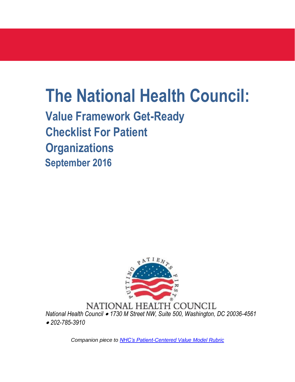# **The National Health Council:**

**Value Framework Get-Ready Checklist For Patient Organizations September 2016**



NATIONAL HEALTH COUNCIL *National Health Council* • *1730 M Street NW, Suite 500, Washington, DC 20036-4561*  • *202-785-3910*

*Companion piece to NHC's Patient-Centered Value Model Rubric*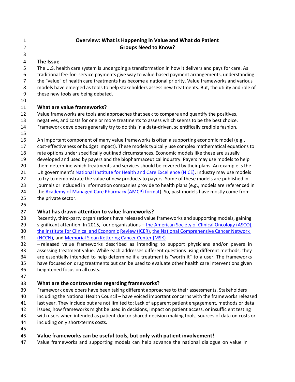| $\mathbf{1}$   | <b>Overview: What is Happening in Value and What do Patient</b>                                        |
|----------------|--------------------------------------------------------------------------------------------------------|
| $\overline{2}$ | <b>Groups Need to Know?</b>                                                                            |
| 3              |                                                                                                        |
| 4              | The Issue                                                                                              |
| 5              | The U.S. health care system is undergoing a transformation in how it delivers and pays for care. As    |
| 6              | traditional fee-for- service payments give way to value-based payment arrangements, understanding      |
| $\overline{7}$ | the "value" of health care treatments has become a national priority. Value frameworks and various     |
| 8              | models have emerged as tools to help stakeholders assess new treatments. But, the utility and role of  |
| 9              | these new tools are being debated.                                                                     |
| 10             |                                                                                                        |
| 11             | What are value frameworks?                                                                             |
| 12             | Value frameworks are tools and approaches that seek to compare and quantify the positives,             |
| 13             | negatives, and costs for one or more treatments to assess which seems to be the best choice.           |
| 14             | Framework developers generally try to do this in a data-driven, scientifically credible fashion.       |
| 15             |                                                                                                        |
| 16             | An important component of many value frameworks is often a supporting economic model (e.g.,            |
| 17             | cost-effectiveness or budget impact). These models typically use complex mathematical equations to     |
| 18             | rate options under specifically outlined circumstances. Economic models like these are usually         |
| 19             | developed and used by payers and the biopharmaceutical industry. Payers may use models to help         |
| 20             | them determine which treatments and services should be covered by their plans. An example is the       |
| 21             | UK government's National Institute for Health and Care Excellence (NICE). Industry may use models      |
| 22             | to try to demonstrate the value of new products to payers. Some of these models are published in       |
| 23             | journals or included in information companies provide to health plans (e.g., models are referenced in  |
| 24             | the Academy of Managed Care Pharmacy (AMCP) format). So, past models have mostly come from             |
| 25             | the private sector.                                                                                    |
| 26             |                                                                                                        |
| 27             | What has drawn attention to value frameworks?                                                          |
| 28             | Recently, third-party organizations have released value frameworks and supporting models, gaining      |
| 29             | significant attention. In 2015, four organizations - the American Society of Clinical Oncology (ASCO), |
| 30             | the Institute for Clinical and Economic Review (ICER), the National Comprehensive Cancer Network       |
| 31             | (NCCN), and Memorial Sloan Kettering Cancer Center (MSK)                                               |
| 32             | - released value frameworks described as intending to support physicians and/or payers in              |
| 33             | assessing treatment value. While each addresses different questions using different methods, they      |
| 34             | are essentially intended to help determine if a treatment is "worth it" to a user. The frameworks      |
| 35             | have focused on drug treatments but can be used to evaluate other health care interventions given      |
| 36             | heightened focus on all costs.                                                                         |
| 37             |                                                                                                        |
| 38             | What are the controversies regarding frameworks?                                                       |
| 39             | Framework developers have been taking different approaches to their assessments. Stakeholders -        |
| 40             | including the National Health Council - have voiced important concerns with the frameworks released    |
| 41             | last year. They include but are not limited to: Lack of apparent patient engagement, methods or data   |
| 42             | issues, how frameworks might be used in decisions, impact on patient access, or insufficient testing   |
| 43             | with users when intended as patient-doctor shared-decision making tools, sources of data on costs or   |
| 44             | including only short-terms costs.                                                                      |
| 45             |                                                                                                        |

## **Value frameworks can be useful tools, but only with patient involvement!**

Value frameworks and supporting models can help advance the national dialogue on value in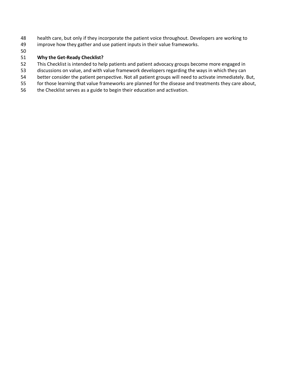- health care, but only if they incorporate the patient voice throughout. Developers are working to
- improve how they gather and use patient inputs in their value frameworks.
- 

#### **Why the Get-Ready Checklist?**

- This Checklist is intended to help patients and patient advocacy groups become more engaged in
- discussions on value, and with value framework developers regarding the ways in which they can
- better consider the patient perspective. Not all patient groups will need to activate immediately. But,
- for those learning that value frameworks are planned for the disease and treatments they care about,
- the Checklist serves as a guide to begin their education and activation.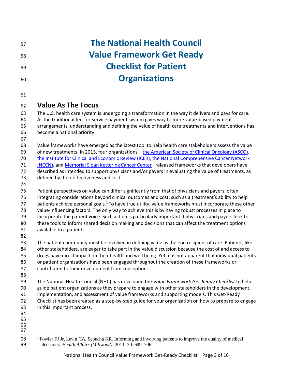| 57       | <b>The National Health Council</b>                                                                                                                                                                            |
|----------|---------------------------------------------------------------------------------------------------------------------------------------------------------------------------------------------------------------|
| 58       | <b>Value Framework Get Ready</b>                                                                                                                                                                              |
| 59       | <b>Checklist for Patient</b>                                                                                                                                                                                  |
| 60       | <b>Organizations</b>                                                                                                                                                                                          |
| 61       |                                                                                                                                                                                                               |
| 62       | <b>Value As The Focus</b>                                                                                                                                                                                     |
| 63       | The U.S. health care system is undergoing a transformation in the way it delivers and pays for care.                                                                                                          |
| 64       | As the traditional fee-for-service payment system gives way to more value-based payment                                                                                                                       |
| 65       | arrangements, understanding and defining the value of health care treatments and interventions has                                                                                                            |
| 66       | become a national priority.                                                                                                                                                                                   |
| 67       |                                                                                                                                                                                                               |
| 68       | Value frameworks have emerged as the latest tool to help health care stakeholders assess the value                                                                                                            |
| 69<br>70 | of new treatments. In 2015, four organizations - the American Society of Clinical Oncology (ASCO),                                                                                                            |
| 71       | the Institute for Clinical and Economic Review (ICER), the National Comprehensive Cancer Network<br>(NCCN), and Memorial Sloan Kettering Cancer Center-released frameworks that developers have               |
| 72       | described as intended to support physicians and/or payers in evaluating the value of treatments, as                                                                                                           |
| 73       | defined by their effectiveness and cost.                                                                                                                                                                      |
| 74       |                                                                                                                                                                                                               |
| 75       | Patient perspectives on value can differ significantly from that of physicians and payers, often                                                                                                              |
| 76       | integrating considerations beyond clinical outcomes and cost, such as a treatment's ability to help                                                                                                           |
| 77       | patients achieve personal goals. <sup>1</sup> To have true utility, value frameworks must incorporate these other                                                                                             |
| 78       | value-influencing factors. The only way to achieve this is by having robust processes in place to                                                                                                             |
| 79       | incorporate the patient voice. Such action is particularly important if physicians and payers look to                                                                                                         |
| 80       | these tools to inform shared decision making and decisions that can affect the treatment options                                                                                                              |
| 81       | available to a patient.                                                                                                                                                                                       |
| 82<br>83 |                                                                                                                                                                                                               |
| 84       | The patient community must be involved in defining value as the end recipient of care. Patients, like<br>other stakeholders, are eager to take part in the value discussion because the cost of and access to |
| 85       | drugs have direct impact on their health and well being. Yet, it is not apparent that individual patients                                                                                                     |
| 86       | or patient organizations have been engaged throughout the creation of these frameworks or                                                                                                                     |
| 87       | contributed to their development from conception.                                                                                                                                                             |
| 88       |                                                                                                                                                                                                               |
| 89       | The National Health Council (NHC) has developed the Value Framework Get-Ready Checklist to help                                                                                                               |
| 90       | guide patient organizations as they prepare to engage with other stakeholders in the development,                                                                                                             |
| 91       | implementation, and assessment of value frameworks and supporting models. This Get-Ready                                                                                                                      |
| 92       | Checklist has been created as a step-by-step guide for your organization on how to prepare to engage                                                                                                          |
| 93       | in this important process.                                                                                                                                                                                    |
| 94       |                                                                                                                                                                                                               |
| 95<br>96 |                                                                                                                                                                                                               |
| 97       |                                                                                                                                                                                                               |
| 98       | <sup>1</sup> Fowler FJ Jr, Levin CA, Sepucha KR. Informing and involving patients to improve the quality of medical                                                                                           |

decisions. *Health Affairs (Millwood)*, 2011; 30: 699–706.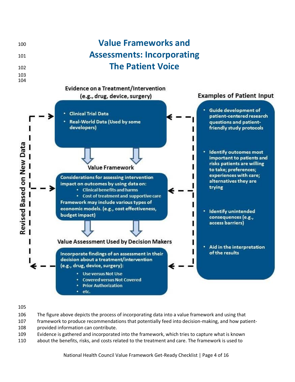

#### 

- The figure above depicts the process of incorporating data into a value framework and using that
- framework to produce recommendations that potentially feed into decision-making, and how patient-
- provided information can contribute.
- Evidence is gathered and incorporated into the framework, which tries to capture what is known
- about the benefits, risks, and costs related to the treatment and care. The framework is used to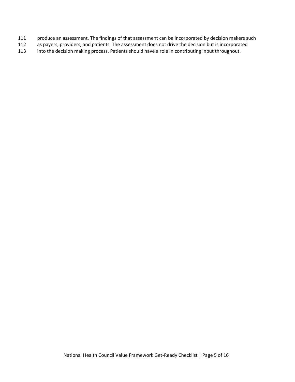- produce an assessment. The findings of that assessment can be incorporated by decision makers such
- as payers, providers, and patients. The assessment does not drive the decision but is incorporated
- into the decision making process. Patients should have a role in contributing input throughout.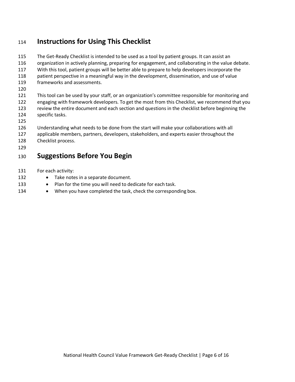## **Instructions for Using This Checklist**

- The Get-Ready Checklist is intended to be used as a tool by patient groups. It can assist an organization in actively planning, preparing for engagement, and collaborating in the value debate. With this tool, patient groups will be better able to prepare to help developers incorporate the patient perspective in a meaningful way in the development, dissemination, and use of value frameworks and assessments. This tool can be used by your staff, or an organization's committee responsible for monitoring and engaging with framework developers. To get the most from this Checklist, we recommend that you review the entire document and each section and questions in the checklist before beginning the specific tasks. Understanding what needs to be done from the start will make your collaborations with all applicable members, partners, developers, stakeholders, and experts easier throughout the Checklist process. **Suggestions Before You Begin** For each activity:
- 132 Take notes in a separate document.
- 133 Plan for the time you will need to dedicate for each task.
- 134 When you have completed the task, check the corresponding box.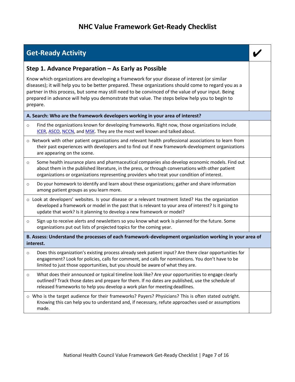### <sup>136</sup> **NHC Value Framework Get-Ready Checklist**

## **Get-Ready Activity** *CONSIDERATION ACTIVITY CONSIDERATION ACTIVITY*

#### **Step 1. Advance Preparation – As Early as Possible**

Know which organizations are developing a framework for your disease of interest (or similar diseases); it will help you to be better prepared. These organizations should come to regard you as a partner in this process, but some may still need to be convinced of the value of your input. Being prepared in advance will help you demonstrate that value. The steps below help you to begin to prepare.

#### **A. Search: Who are the framework developers working in your area of interest?**

- o Find the organizations known for developing frameworks. Right now, those organizations include ICER, ASCO, NCCN, and MSK. They are the most well known and talked about.
- o Network with other patient organizations and relevant health professional associations to learn from their past experiences with developers and to find out if new framework-development organizations are appearing on the scene.
- $\circ$  Some health insurance plans and pharmaceutical companies also develop economic models. Find out about them in the published literature, in the press, or through conversations with other patient organizations or organizations representing providers who treat your condition of interest.
- $\circ$  Do your homework to identify and learn about these organizations; gather and share information among patient groups as you learn more.
- o Look at developers' websites. Is your disease or a relevant treatment listed? Has the organization developed a framework or model in the past that is relevant to your area of interest? Is it going to update that work? Is it planning to develop a new framework or model?
- $\circ$  Sign up to receive alerts and newsletters so you know what work is planned for the future. Some organizations put out lists of projected topics for the coming year.

**B. Assess: Understand the processes of each framework-development organization working in your area of interest.**

- $\circ$  Does this organization's existing process already seek patient input? Are there clear opportunities for engagement? Look for policies, calls for comment, and calls for nominations. You don't have to be limited to just those opportunities, but you should be aware of what they are.
- o What does their announced or typical timeline look like? Are your opportunities to engage clearly outlined? Track those dates and prepare for them. If no dates are published, use the schedule of released frameworks to help you develop a work plan for meeting deadlines.

o Who is the target audience for their frameworks? Payers? Physicians? This is often stated outright. Knowing this can help you to understand and, if necessary, refute approaches used or assumptions made.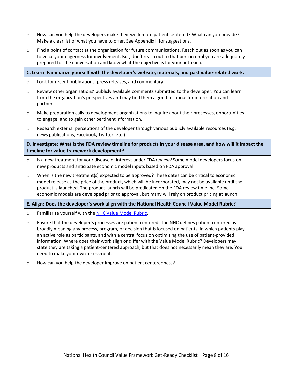| $\circ$                                                                                                                                                    | How can you help the developers make their work more patient centered? What can you provide?<br>Make a clear list of what you have to offer. See Appendix II for suggestions.                                                                                                                                                                                                                                                                                                                                                                                                                                                   |  |
|------------------------------------------------------------------------------------------------------------------------------------------------------------|---------------------------------------------------------------------------------------------------------------------------------------------------------------------------------------------------------------------------------------------------------------------------------------------------------------------------------------------------------------------------------------------------------------------------------------------------------------------------------------------------------------------------------------------------------------------------------------------------------------------------------|--|
| $\circ$                                                                                                                                                    | Find a point of contact at the organization for future communications. Reach out as soon as you can<br>to voice your eagerness for involvement. But, don't reach out to that person until you are adequately<br>prepared for the conversation and know what the objective is for your outreach.                                                                                                                                                                                                                                                                                                                                 |  |
|                                                                                                                                                            | C. Learn: Familiarize yourself with the developer's website, materials, and past value-related work.                                                                                                                                                                                                                                                                                                                                                                                                                                                                                                                            |  |
| $\circ$                                                                                                                                                    | Look for recent publications, press releases, and commentary.                                                                                                                                                                                                                                                                                                                                                                                                                                                                                                                                                                   |  |
| $\circ$                                                                                                                                                    | Review other organizations' publicly available comments submitted to the developer. You can learn<br>from the organization's perspectives and may find them a good resource for information and<br>partners.                                                                                                                                                                                                                                                                                                                                                                                                                    |  |
| $\circ$                                                                                                                                                    | Make preparation calls to development organizations to inquire about their processes, opportunities<br>to engage, and to gain other pertinent information.                                                                                                                                                                                                                                                                                                                                                                                                                                                                      |  |
| $\circ$                                                                                                                                                    | Research external perceptions of the developer through various publicly available resources (e.g.<br>news publications, Facebook, Twitter, etc.)                                                                                                                                                                                                                                                                                                                                                                                                                                                                                |  |
| D. Investigate: What is the FDA review timeline for products in your disease area, and how will it impact the<br>timeline for value framework development? |                                                                                                                                                                                                                                                                                                                                                                                                                                                                                                                                                                                                                                 |  |
| $\circ$                                                                                                                                                    |                                                                                                                                                                                                                                                                                                                                                                                                                                                                                                                                                                                                                                 |  |
|                                                                                                                                                            | Is a new treatment for your disease of interest under FDA review? Some model developers focus on<br>new products and anticipate economic model inputs based on FDA approval.                                                                                                                                                                                                                                                                                                                                                                                                                                                    |  |
| $\circ$                                                                                                                                                    | When is the new treatment(s) expected to be approved? These dates can be critical to economic<br>model release as the price of the product, which will be incorporated, may not be available until the<br>product is launched. The product launch will be predicated on the FDA review timeline. Some<br>economic models are developed prior to approval, but many will rely on product pricing at launch.                                                                                                                                                                                                                      |  |
|                                                                                                                                                            | E. Align: Does the developer's work align with the National Health Council Value Model Rubric?                                                                                                                                                                                                                                                                                                                                                                                                                                                                                                                                  |  |
| $\circ$                                                                                                                                                    | Familiarize yourself with the NHC Value Model Rubric.                                                                                                                                                                                                                                                                                                                                                                                                                                                                                                                                                                           |  |
| $\circ$                                                                                                                                                    | Ensure that the developer's processes are patient centered. The NHC defines patient centered as<br>broadly meaning any process, program, or decision that is focused on patients, in which patients play<br>an active role as participants, and with a central focus on optimizing the use of patient-provided<br>information. Where does their work align or differ with the Value Model Rubric? Developers may<br>state they are taking a patient-centered approach, but that does not necessarily mean they are. You<br>need to make your own assessment.<br>How can you help the developer improve on patient centeredness? |  |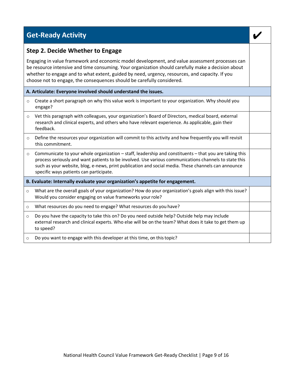## **Get-Ready Activity**

#### **Step 2. Decide Whether to Engage**

Engaging in value framework and economic model development, and value assessment processes can be resource intensive and time consuming. Your organization should carefully make a decision about whether to engage and to what extent, guided by need, urgency, resources, and capacity. If you choose not to engage, the consequences should be carefully considered.

#### **A. Articulate: Everyone involved should understand the issues.**

- $\circ$  Create a short paragraph on why this value work is important to your organization. Why should you engage?
- o Vet this paragraph with colleagues, your organization's Board of Directors, medical board, external research and clinical experts, and others who have relevant experience. As applicable, gain their feedback.
- o Define the resources your organization will commit to this activity and how frequently you will revisit this commitment.
- $\circ$  Communicate to your whole organization staff, leadership and constituents that you are taking this process seriously and want patients to be involved. Use various communications channels to state this such as your website, blog, e-news, print publication and social media. These channels can announce specific ways patients can participate.
- **B. Evaluate: Internally evaluate your organization's appetite for engagement.**
- o What are the overall goals of your organization? How do your organization's goals align with this issue? Would you consider engaging on value frameworks your role?
- o What resources do you need to engage? What resources do you have?
- $\circ$  Do you have the capacity to take this on? Do you need outside help? Outside help may include external research and clinical experts. Who else will be on the team? What does it take to get them up to speed?
- o Do you want to engage with this developer at this time, on thistopic?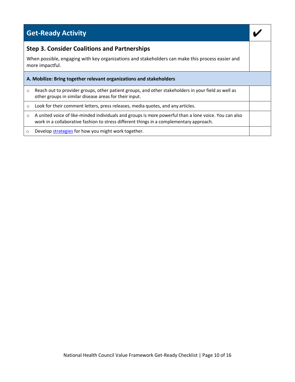|                                                                                                                     | <b>Get-Ready Activity</b>                                                                                                                                                                        |  |
|---------------------------------------------------------------------------------------------------------------------|--------------------------------------------------------------------------------------------------------------------------------------------------------------------------------------------------|--|
|                                                                                                                     | <b>Step 3. Consider Coalitions and Partnerships</b>                                                                                                                                              |  |
| When possible, engaging with key organizations and stakeholders can make this process easier and<br>more impactful. |                                                                                                                                                                                                  |  |
| A. Mobilize: Bring together relevant organizations and stakeholders                                                 |                                                                                                                                                                                                  |  |
| O                                                                                                                   | Reach out to provider groups, other patient groups, and other stakeholders in your field as well as<br>other groups in similar disease areas for their input.                                    |  |
| $\circ$                                                                                                             | Look for their comment letters, press releases, media quotes, and any articles.                                                                                                                  |  |
| $\circ$                                                                                                             | A united voice of like-minded individuals and groups is more powerful than a lone voice. You can also<br>work in a collaborative fashion to stress different things in a complementary approach. |  |
| $\circ$                                                                                                             | Develop strategies for how you might work together.                                                                                                                                              |  |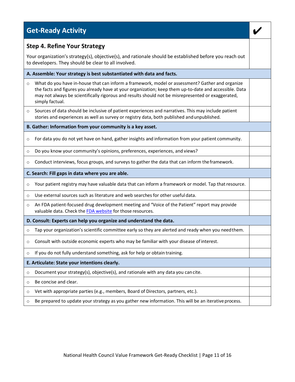## **Get-Ready Activity**

#### **Step 4. Refine Your Strategy**

Your organization's strategy(s), objective(s), and rationale should be established before you reach out to developers. They should be clear to all involved.

#### **A. Assemble: Your strategy is best substantiated with data and facts.**

- What do you have in-house that can inform a framework, model or assessment? Gather and organize the facts and figures you already have at your organization; keep them up-to-date and accessible. Data may not always be scientifically rigorous and results should not be misrepresented or exaggerated, simply factual.
- o Sources of data should be inclusive of patient experiences and narratives. This may include patient stories and experiences as well as survey or registry data, both published andunpublished.

#### **B. Gather: Information from your community is a key asset.**

- $\circ$  For data you do not yet have on hand, gather insights and information from your patient community.
- o Do you know your community's opinions, preferences, experiences, and views?
- $\circ$  Conduct interviews, focus groups, and surveys to gather the data that can inform the framework.

#### **C. Search: Fill gaps in data where you are able.**

- $\circ$  Your patient registry may have valuable data that can inform a framework or model. Tap that resource.
- $\circ$  Use external sources such as literature and web searches for other usefuldata.
- $\circ$  An FDA patient-focused drug development meeting and "Voice of the Patient" report may provide valuable data. Check the FDA website for those resources.
- **D. Consult: Experts can help you organize and understand the data.**
- $\circ$  Tap your organization's scientific committee early so they are alerted and ready when you need them.
- $\circ$  Consult with outside economic experts who may be familiar with your disease of interest.
- $\circ$  If you do not fully understand something, ask for help or obtain training.

#### **E. Articulate: State your intentions clearly.**

- $\circ$  Document your strategy(s), objective(s), and rationale with any data you can cite.
- o Be concise and clear.
- o Vet with appropriate parties (e.g., members, Board of Directors, partners, etc.).
- $\circ$  Be prepared to update your strategy as you gather new information. This will be an iterative process.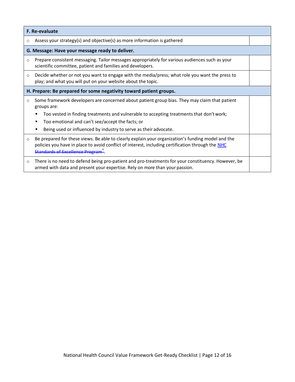| F. Re-evaluate                                                     |                                                                                                                                                                                                                                                  |  |
|--------------------------------------------------------------------|--------------------------------------------------------------------------------------------------------------------------------------------------------------------------------------------------------------------------------------------------|--|
| O                                                                  | Assess your strategy(s) and objective(s) as more information is gathered                                                                                                                                                                         |  |
| G. Message: Have your message ready to deliver.                    |                                                                                                                                                                                                                                                  |  |
| $\circ$                                                            | Prepare consistent messaging. Tailor messages appropriately for various audiences such as your<br>scientific committee, patient and families and developers.                                                                                     |  |
| $\circ$                                                            | Decide whether or not you want to engage with the media/press; what role you want the press to<br>play; and what you will put on your website about the topic.                                                                                   |  |
| H. Prepare: Be prepared for some negativity toward patient groups. |                                                                                                                                                                                                                                                  |  |
| $\circ$                                                            | Some framework developers are concerned about patient group bias. They may claim that patient<br>groups are:                                                                                                                                     |  |
|                                                                    | Too vested in finding treatments and vulnerable to accepting treatments that don't work;                                                                                                                                                         |  |
|                                                                    | Too emotional and can't see/accept the facts; or                                                                                                                                                                                                 |  |
|                                                                    | Being used or influenced by industry to serve as their advocate.                                                                                                                                                                                 |  |
| $\circ$                                                            | Be prepared for these views. Be able to clearly explain your organization's funding model and the<br>policies you have in place to avoid conflict of interest, including certification through the NHC<br><b>Standards of Excellence Program</b> |  |
| $\circ$                                                            | There is no need to defend being pro-patient and pro-treatments for your constituency. However, be<br>armed with data and present your expertise. Rely on more than your passion.                                                                |  |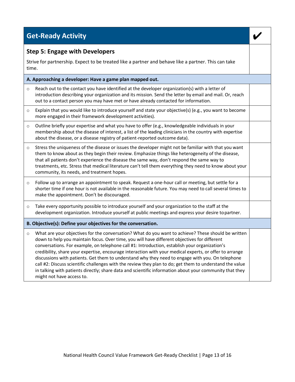## **Get-Ready Activity** *CONSIDERATION ACTIVITY CONSIDERATION ACTIVITY*

#### **Step 5: Engage with Developers**

Strive for partnership. Expect to be treated like a partner and behave like a partner. This can take time.

|         | A. Approaching a developer: Have a game plan mapped out.                                                                                                                                                                                                                                                                                                                                                                                                           |  |  |
|---------|--------------------------------------------------------------------------------------------------------------------------------------------------------------------------------------------------------------------------------------------------------------------------------------------------------------------------------------------------------------------------------------------------------------------------------------------------------------------|--|--|
| $\circ$ | Reach out to the contact you have identified at the developer organization(s) with a letter of<br>introduction describing your organization and its mission. Send the letter by email and mail. Or, reach<br>out to a contact person you may have met or have already contacted for information.                                                                                                                                                                   |  |  |
| $\circ$ | Explain that you would like to introduce yourself and state your objective(s) (e.g., you want to become<br>more engaged in their framework development activities).                                                                                                                                                                                                                                                                                                |  |  |
| $\circ$ | Outline briefly your expertise and what you have to offer (e.g., knowledgeable individuals in your<br>membership about the disease of interest, a list of the leading clinicians in the country with expertise<br>about the disease, or a disease registry of patient-reported outcome data).                                                                                                                                                                      |  |  |
| $\circ$ | Stress the uniqueness of the disease or issues the developer might not be familiar with that you want<br>them to know about as they begin their review. Emphasize things like heterogeneity of the disease,<br>that all patients don't experience the disease the same way, don't respond the same way to<br>treatments, etc. Stress that medical literature can't tell them everything they need to know about your<br>community, its needs, and treatment hopes. |  |  |
| $\circ$ | Follow up to arrange an appointment to speak. Request a one-hour call or meeting, but settle for a<br>shorter time if one hour is not available in the reasonable future. You may need to call several times to<br>make the appointment. Don't be discouraged.                                                                                                                                                                                                     |  |  |
| $\circ$ | Take every opportunity possible to introduce yourself and your organization to the staff at the<br>development organization. Introduce yourself at public meetings and express your desire to partner.                                                                                                                                                                                                                                                             |  |  |
|         | B. Objective(s): Define your objectives for the conversation.                                                                                                                                                                                                                                                                                                                                                                                                      |  |  |
| $\circ$ | What are your objectives for the conversation? What do you want to achieve? These should be written<br>down to help you maintain focus. Over time, you will have different objectives for different<br>conversations. For example, on telephone call #1: Introduction, establish your organization's<br>credibility, share your expertise, encourage interaction with your medical experts, or offer to arrange                                                    |  |  |

discussions with patients. Get them to understand why they need to engage with you. On telephone call #2: Discuss scientific challenges with the review they plan to do; get them to understand the value in talking with patients directly; share data and scientific information about your community that they might not have access to.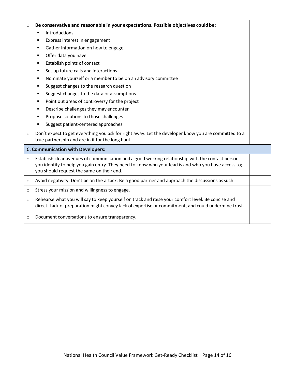## o **Be conservative and reasonable in your expectations. Possible objectives couldbe:** ■ Introductions ■ Express interest in engagement ■ Gather information on how to engage ■ Offer data you have ■ Establish points of contact ■ Set up future calls and interactions ■ Nominate yourself or a member to be on an advisory committee ■ Suggest changes to the research question ■ Suggest changes to the data or assumptions ■ Point out areas of controversy for the project ■ Describe challenges they may encounter ■ Propose solutions to those challenges ■ Suggest patient-centered approaches  $\circ$  Don't expect to get everything you ask for right away. Let the developer know you are committed to a true partnership and are in it for the long haul. **C. Communication with Developers:** o Establish clear avenues of communication and a good working relationship with the contact person you identify to help you gain entry. They need to know who your lead is and who you have access to; you should request the same on their end. o Avoid negativity. Don't be on the attack. Be a good partner and approach the discussions assuch. o Stress your mission and willingness to engage.  $\circ$  Rehearse what you will say to keep yourself on track and raise your comfort level. Be concise and direct. Lack of preparation might convey lack of expertise or commitment, and could undermine trust. o Document conversations to ensure transparency.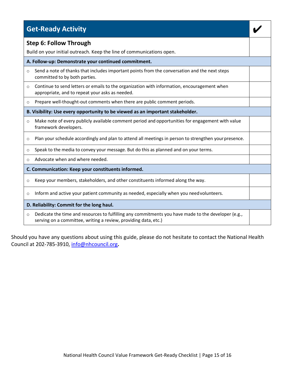|          | <b>Get-Ready Activity</b>                                                                                                                                              |  |
|----------|------------------------------------------------------------------------------------------------------------------------------------------------------------------------|--|
|          | <b>Step 6: Follow Through</b>                                                                                                                                          |  |
|          | Build on your initial outreach. Keep the line of communications open.                                                                                                  |  |
|          | A. Follow-up: Demonstrate your continued commitment.                                                                                                                   |  |
| $\circ$  | Send a note of thanks that includes important points from the conversation and the next steps<br>committed to by both parties.                                         |  |
| $\circ$  | Continue to send letters or emails to the organization with information, encouragement when<br>appropriate, and to repeat your asks as needed.                         |  |
| $\circ$  | Prepare well-thought-out comments when there are public comment periods.                                                                                               |  |
|          | B. Visibility: Use every opportunity to be viewed as an important stakeholder.                                                                                         |  |
| $\Omega$ | Make note of every publicly available comment period and opportunities for engagement with value<br>framework developers.                                              |  |
| $\circ$  | Plan your schedule accordingly and plan to attend all meetings in person to strengthen your presence.                                                                  |  |
| $\circ$  | Speak to the media to convey your message. But do this as planned and on your terms.                                                                                   |  |
| $\Omega$ | Advocate when and where needed.                                                                                                                                        |  |
|          | C. Communication: Keep your constituents informed.                                                                                                                     |  |
| $\circ$  | Keep your members, stakeholders, and other constituents informed along the way.                                                                                        |  |
| O        | Inform and active your patient community as needed, especially when you need volunteers.                                                                               |  |
|          | D. Reliability: Commit for the long haul.                                                                                                                              |  |
| $\Omega$ | Dedicate the time and resources to fulfilling any commitments you have made to the developer (e.g.,<br>serving on a committee, writing a review, providing data, etc.) |  |

Should you have any questions about using this guide, please do not hesitate to contact the National Health 148 Council at [202-785-3910, info@nhcouncil.org](mailto:202-785-3910%2Cinfo@nhcouncil.org)**.**